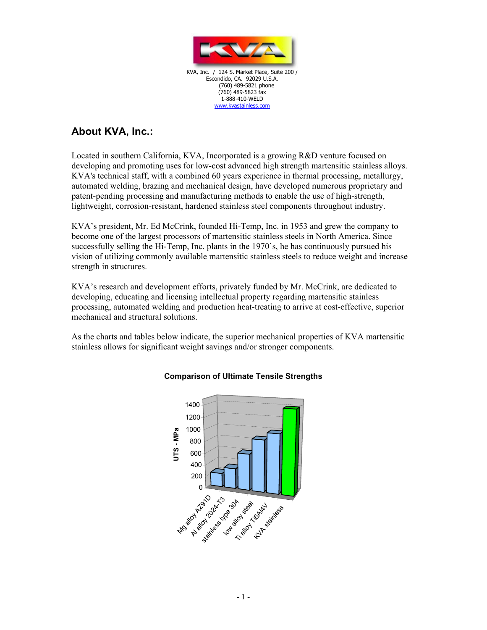

KVA, Inc. / 124 S. Market Place, Suite 200 / Escondido, CA. 92029 U.S.A. (760) 489-5821 phone (760) 489-5823 fax 1-888-410-WELD www.kvastainless.com

## **About KVA, Inc.:**

Located in southern California, KVA, Incorporated is a growing R&D venture focused on developing and promoting uses for low-cost advanced high strength martensitic stainless alloys. KVA's technical staff, with a combined 60 years experience in thermal processing, metallurgy, automated welding, brazing and mechanical design, have developed numerous proprietary and patent-pending processing and manufacturing methods to enable the use of high-strength, lightweight, corrosion-resistant, hardened stainless steel components throughout industry.

KVA's president, Mr. Ed McCrink, founded Hi-Temp, Inc. in 1953 and grew the company to become one of the largest processors of martensitic stainless steels in North America. Since successfully selling the Hi-Temp, Inc. plants in the 1970's, he has continuously pursued his vision of utilizing commonly available martensitic stainless steels to reduce weight and increase strength in structures.

KVA's research and development efforts, privately funded by Mr. McCrink, are dedicated to developing, educating and licensing intellectual property regarding martensitic stainless processing, automated welding and production heat-treating to arrive at cost-effective, superior mechanical and structural solutions.

As the charts and tables below indicate, the superior mechanical properties of KVA martensitic stainless allows for significant weight savings and/or stronger components.



## **Comparison of Ultimate Tensile Strengths**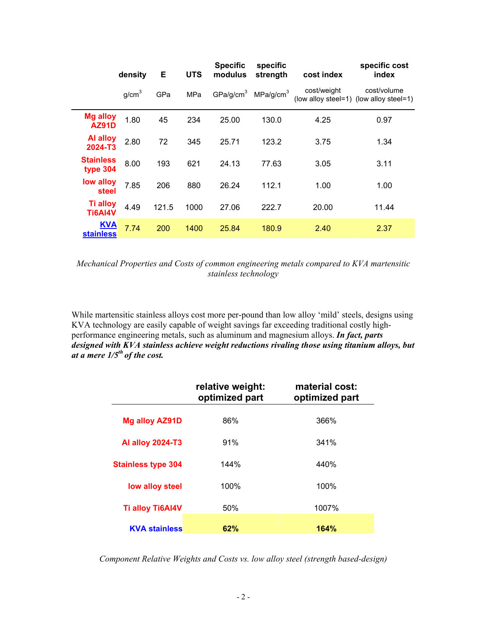|                                   | density           | Е     | <b>UTS</b> | <b>Specific</b><br>modulus | specific<br>strength  | cost index  | specific cost<br>index                                 |
|-----------------------------------|-------------------|-------|------------|----------------------------|-----------------------|-------------|--------------------------------------------------------|
|                                   | g/cm <sup>3</sup> | GPa   | <b>MPa</b> | GPa/g/cm <sup>3</sup>      | MPa/g/cm <sup>3</sup> | cost/weight | cost/volume<br>(low alloy steel=1) (low alloy steel=1) |
| <b>Mg alloy</b><br><b>AZ91D</b>   | 1.80              | 45    | 234        | 25.00                      | 130.0                 | 4.25        | 0.97                                                   |
| <b>Al alloy</b><br>2024-T3        | 2.80              | 72    | 345        | 25.71                      | 123.2                 | 3.75        | 1.34                                                   |
| <b>Stainless</b><br>type 304      | 8.00              | 193   | 621        | 24.13                      | 77.63                 | 3.05        | 3.11                                                   |
| low alloy<br>steel                | 7.85              | 206   | 880        | 26.24                      | 112.1                 | 1.00        | 1.00                                                   |
| <b>Ti alloy</b><br><b>Ti6AI4V</b> | 4.49              | 121.5 | 1000       | 27.06                      | 222.7                 | 20.00       | 11.44                                                  |
| <b>KVA</b><br><b>stainless</b>    | 7.74              | 200   | 1400       | 25.84                      | 180.9                 | 2.40        | 2.37                                                   |

*Mechanical Properties and Costs of common engineering metals compared to KVA martensitic stainless technology* 

While martensitic stainless alloys cost more per-pound than low alloy 'mild' steels, designs using KVA technology are easily capable of weight savings far exceeding traditional costly highperformance engineering metals, such as aluminum and magnesium alloys. *In fact, parts designed with KVA stainless achieve weight reductions rivaling those using titanium alloys, but at a mere 1/5th of the cost.* 

|                           | relative weight:<br>optimized part | material cost:<br>optimized part |
|---------------------------|------------------------------------|----------------------------------|
| Mg alloy AZ91D            | 86%                                | 366%                             |
| <b>Al alloy 2024-T3</b>   | 91%                                | 341%                             |
| <b>Stainless type 304</b> | 144%                               | 440%                             |
| low alloy steel           | 100%                               | 100%                             |
| <b>Ti alloy Ti6AI4V</b>   | 50%                                | 1007%                            |
| <b>KVA stainless</b>      | 62%                                | 164%                             |

*Component Relative Weights and Costs vs. low alloy steel (strength based-design)*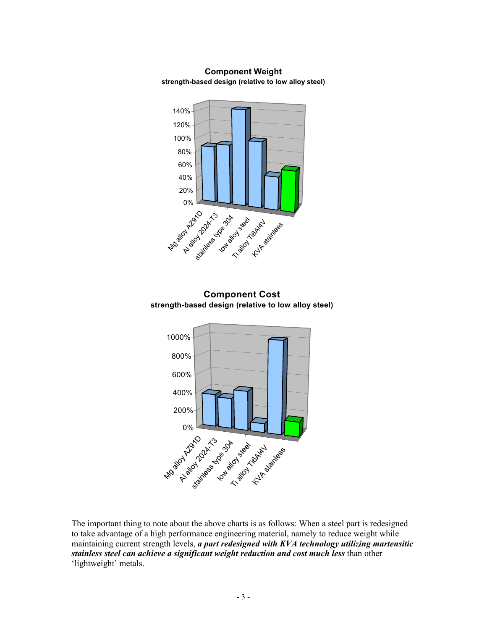



The important thing to note about the above charts is as follows: When a steel part is redesigned to take advantage of a high performance engineering material, namely to reduce weight while maintaining current strength levels, *a part redesigned with KVA technology utilizing martensitic stainless steel can achieve a significant weight reduction and cost much less* than other 'lightweight' metals.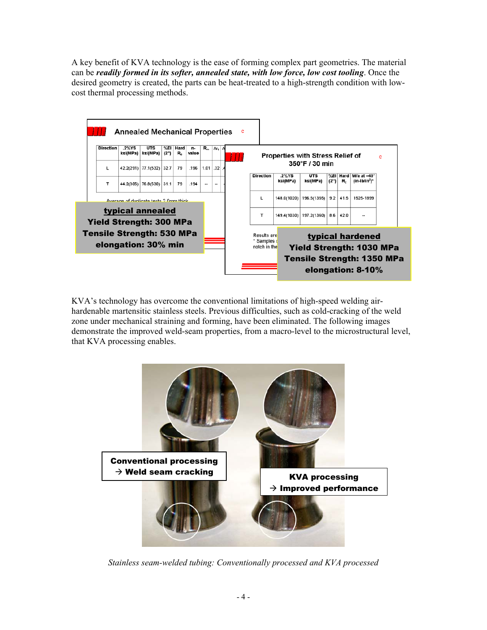A key benefit of KVA technology is the ease of forming complex part geometries. The material can be *readily formed in its softer, annealed state, with low force, low cost tooling*. Once the desired geometry is created, the parts can be heat-treated to a high-strength condition with lowcost thermal processing methods.



KVA's technology has overcome the conventional limitations of high-speed welding airhardenable martensitic stainless steels. Previous difficulties, such as cold-cracking of the weld zone under mechanical straining and forming, have been eliminated. The following images demonstrate the improved weld-seam properties, from a macro-level to the microstructural level, that KVA processing enables.



*Stainless seam-welded tubing: Conventionally processed and KVA processed*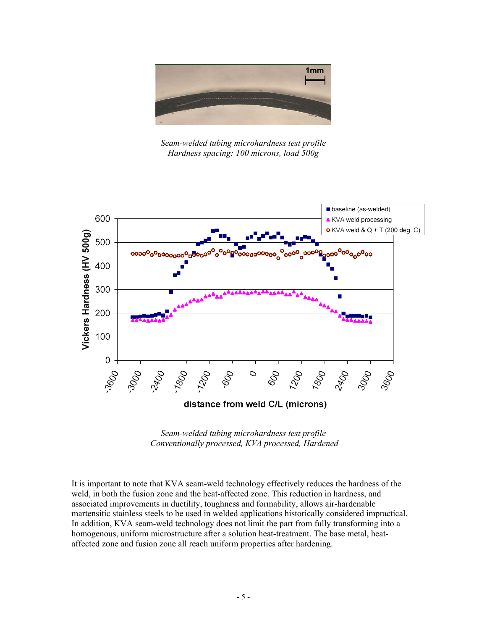

*Seam-welded tubing microhardness test profile Hardness spacing: 100 microns, load 500g* 



*Seam-welded tubing microhardness test profile Conventionally processed, KVA processed, Hardened* 

It is important to note that KVA seam-weld technology effectively reduces the hardness of the weld, in both the fusion zone and the heat-affected zone. This reduction in hardness, and associated improvements in ductility, toughness and formability, allows air-hardenable martensitic stainless steels to be used in welded applications historically considered impractical. In addition, KVA seam-weld technology does not limit the part from fully transforming into a homogenous, uniform microstructure after a solution heat-treatment. The base metal, heataffected zone and fusion zone all reach uniform properties after hardening.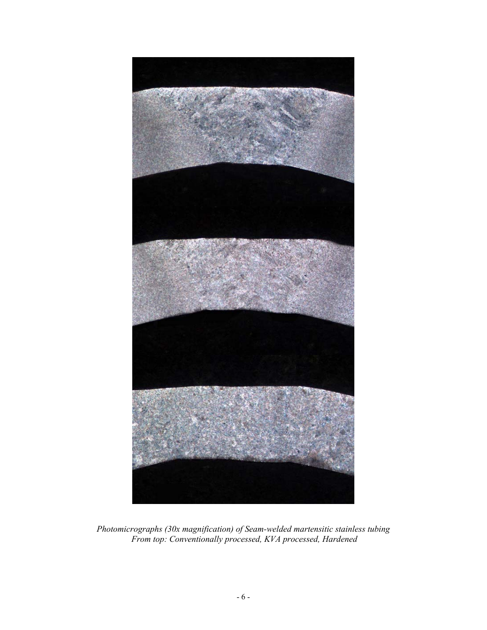

*Photomicrographs (30x magnification) of Seam-welded martensitic stainless tubing From top: Conventionally processed, KVA processed, Hardened*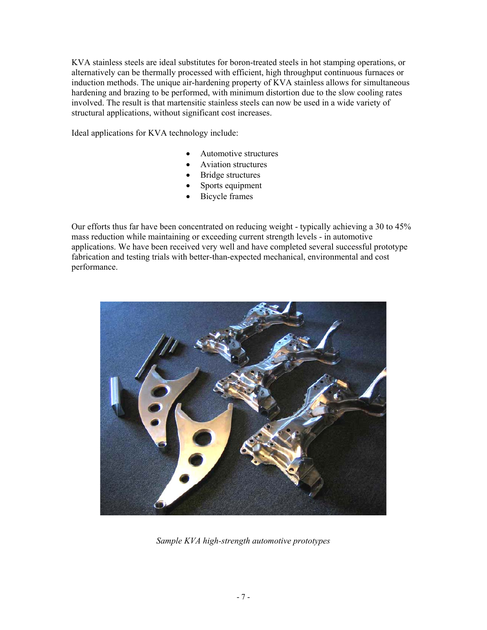KVA stainless steels are ideal substitutes for boron-treated steels in hot stamping operations, or alternatively can be thermally processed with efficient, high throughput continuous furnaces or induction methods. The unique air-hardening property of KVA stainless allows for simultaneous hardening and brazing to be performed, with minimum distortion due to the slow cooling rates involved. The result is that martensitic stainless steels can now be used in a wide variety of structural applications, without significant cost increases.

Ideal applications for KVA technology include:

- Automotive structures
- Aviation structures
- **Bridge structures**
- Sports equipment
- Bicycle frames

Our efforts thus far have been concentrated on reducing weight - typically achieving a 30 to 45% mass reduction while maintaining or exceeding current strength levels - in automotive applications. We have been received very well and have completed several successful prototype fabrication and testing trials with better-than-expected mechanical, environmental and cost performance.



*Sample KVA high-strength automotive prototypes*